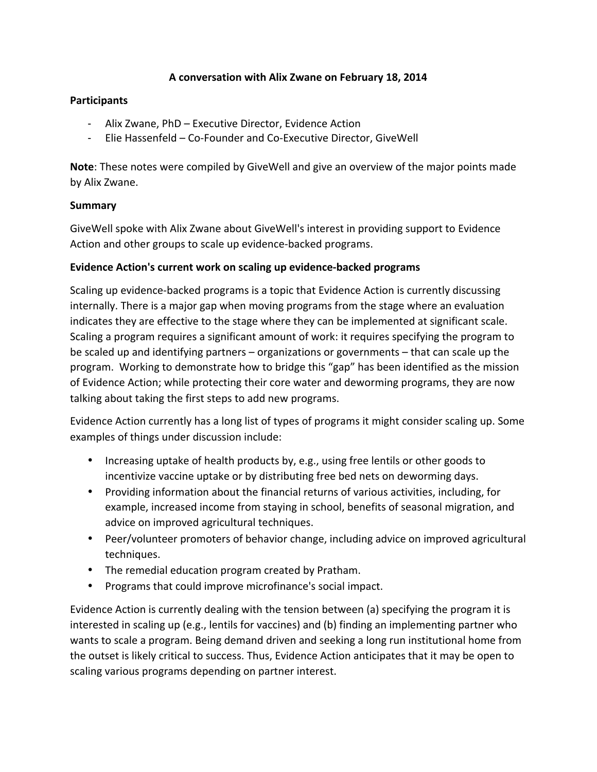### A conversation with Alix Zwane on February 18, 2014

#### **Participants**

- Alix Zwane, PhD Executive Director, Evidence Action
- Elie Hassenfeld Co-Founder and Co-Executive Director, GiveWell

**Note**: These notes were compiled by GiveWell and give an overview of the major points made by Alix Zwane.

### **Summary**

GiveWell spoke with Alix Zwane about GiveWell's interest in providing support to Evidence Action and other groups to scale up evidence-backed programs.

### Evidence Action's current work on scaling up evidence-backed programs

Scaling up evidence-backed programs is a topic that Evidence Action is currently discussing internally. There is a major gap when moving programs from the stage where an evaluation indicates they are effective to the stage where they can be implemented at significant scale. Scaling a program requires a significant amount of work: it requires specifying the program to be scaled up and identifying partners  $-$  organizations or governments  $-$  that can scale up the program. Working to demonstrate how to bridge this "gap" has been identified as the mission of Evidence Action; while protecting their core water and deworming programs, they are now talking about taking the first steps to add new programs.

Evidence Action currently has a long list of types of programs it might consider scaling up. Some examples of things under discussion include:

- Increasing uptake of health products by, e.g., using free lentils or other goods to incentivize vaccine uptake or by distributing free bed nets on deworming days.
- Providing information about the financial returns of various activities, including, for example, increased income from staying in school, benefits of seasonal migration, and advice on improved agricultural techniques.
- Peer/volunteer promoters of behavior change, including advice on improved agricultural techniques.
- The remedial education program created by Pratham.
- Programs that could improve microfinance's social impact.

Evidence Action is currently dealing with the tension between (a) specifying the program it is interested in scaling up (e.g., lentils for vaccines) and (b) finding an implementing partner who wants to scale a program. Being demand driven and seeking a long run institutional home from the outset is likely critical to success. Thus, Evidence Action anticipates that it may be open to scaling various programs depending on partner interest.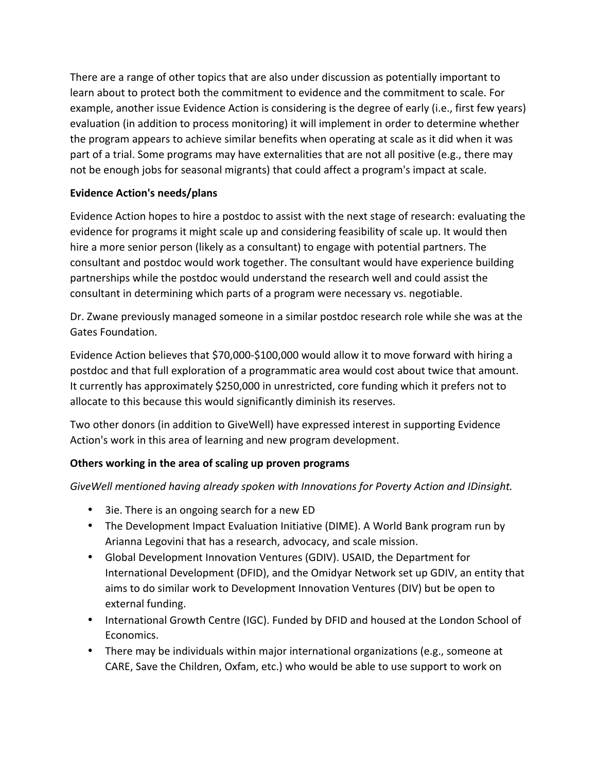There are a range of other topics that are also under discussion as potentially important to learn about to protect both the commitment to evidence and the commitment to scale. For example, another issue Evidence Action is considering is the degree of early (i.e., first few years) evaluation (in addition to process monitoring) it will implement in order to determine whether the program appears to achieve similar benefits when operating at scale as it did when it was part of a trial. Some programs may have externalities that are not all positive (e.g., there may not be enough jobs for seasonal migrants) that could affect a program's impact at scale.

# **Evidence Action's needs/plans**

Evidence Action hopes to hire a postdoc to assist with the next stage of research: evaluating the evidence for programs it might scale up and considering feasibility of scale up. It would then hire a more senior person (likely as a consultant) to engage with potential partners. The consultant and postdoc would work together. The consultant would have experience building partnerships while the postdoc would understand the research well and could assist the consultant in determining which parts of a program were necessary vs. negotiable.

Dr. Zwane previously managed someone in a similar postdoc research role while she was at the Gates Foundation.

Evidence Action believes that \$70,000-\$100,000 would allow it to move forward with hiring a postdoc and that full exploration of a programmatic area would cost about twice that amount. It currently has approximately \$250,000 in unrestricted, core funding which it prefers not to allocate to this because this would significantly diminish its reserves.

Two other donors (in addition to GiveWell) have expressed interest in supporting Evidence Action's work in this area of learning and new program development.

# **Others working in the area of scaling up proven programs**

GiveWell mentioned having already spoken with *Innovations* for Poverty Action and *IDinsight*.

- 3ie. There is an ongoing search for a new ED
- The Development Impact Evaluation Initiative (DIME). A World Bank program run by Arianna Legovini that has a research, advocacy, and scale mission.
- Global Development Innovation Ventures (GDIV). USAID, the Department for International Development (DFID), and the Omidyar Network set up GDIV, an entity that aims to do similar work to Development Innovation Ventures (DIV) but be open to external funding.
- International Growth Centre (IGC). Funded by DFID and housed at the London School of Economics.
- There may be individuals within major international organizations (e.g., someone at CARE, Save the Children, Oxfam, etc.) who would be able to use support to work on